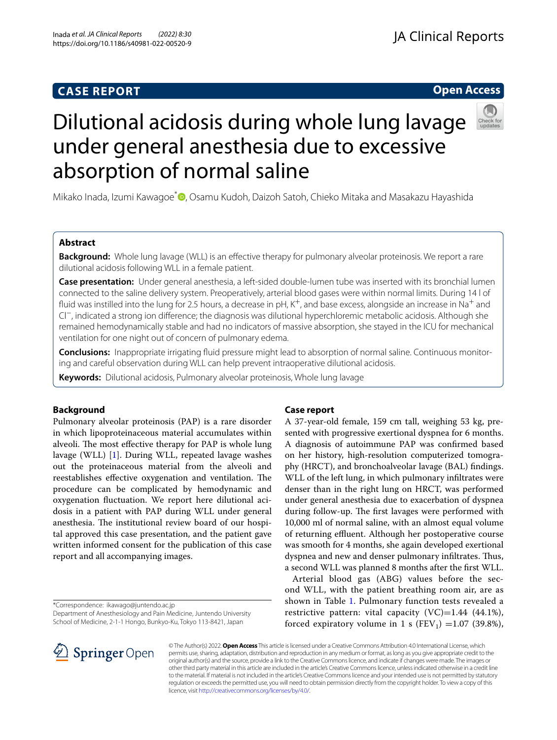## **CASE REPORT**

## **Open Access**



# Dilutional acidosis during whole lung lavage under general anesthesia due to excessive absorption of normal saline

Mikako Inada, Izumi Kawagoe<sup>[\\*](http://orcid.org/0000-0002-5791-2700)</sup> , Osamu Kudoh, Daizoh Satoh, Chieko Mitaka and Masakazu Hayashida

## **Abstract**

**Background:** Whole lung lavage (WLL) is an effective therapy for pulmonary alveolar proteinosis. We report a rare dilutional acidosis following WLL in a female patient.

**Case presentation:** Under general anesthesia, a left-sided double-lumen tube was inserted with its bronchial lumen connected to the saline delivery system. Preoperatively, arterial blood gases were within normal limits. During 14 l of fluid was instilled into the lung for 2.5 hours, a decrease in pH, K<sup>+</sup>, and base excess, alongside an increase in Na<sup>+</sup> and Cl−, indicated a strong ion diference; the diagnosis was dilutional hyperchloremic metabolic acidosis. Although she remained hemodynamically stable and had no indicators of massive absorption, she stayed in the ICU for mechanical ventilation for one night out of concern of pulmonary edema.

**Conclusions:** Inappropriate irrigating fuid pressure might lead to absorption of normal saline. Continuous monitoring and careful observation during WLL can help prevent intraoperative dilutional acidosis.

**Keywords:** Dilutional acidosis, Pulmonary alveolar proteinosis, Whole lung lavage

## **Background**

Pulmonary alveolar proteinosis (PAP) is a rare disorder in which lipoproteinaceous material accumulates within alveoli. The most effective therapy for PAP is whole lung lavage (WLL) [[1\]](#page-4-0). During WLL, repeated lavage washes out the proteinaceous material from the alveoli and reestablishes effective oxygenation and ventilation. The procedure can be complicated by hemodynamic and oxygenation fuctuation. We report here dilutional acidosis in a patient with PAP during WLL under general anesthesia. The institutional review board of our hospital approved this case presentation, and the patient gave written informed consent for the publication of this case report and all accompanying images.

\*Correspondence: ikawago@juntendo.ac.jp

Department of Anesthesiology and Pain Medicine, Juntendo University School of Medicine, 2-1-1 Hongo, Bunkyo-Ku, Tokyo 113-8421, Japan

## **Case report**

A 37-year-old female, 159 cm tall, weighing 53 kg, presented with progressive exertional dyspnea for 6 months. A diagnosis of autoimmune PAP was confrmed based on her history, high-resolution computerized tomography (HRCT), and bronchoalveolar lavage (BAL) fndings. WLL of the left lung, in which pulmonary infltrates were denser than in the right lung on HRCT, was performed under general anesthesia due to exacerbation of dyspnea during follow-up. The first lavages were performed with 10,000 ml of normal saline, with an almost equal volume of returning effluent. Although her postoperative course was smooth for 4 months, she again developed exertional dyspnea and new and denser pulmonary infiltrates. Thus, a second WLL was planned 8 months after the frst WLL.

Arterial blood gas (ABG) values before the second WLL, with the patient breathing room air, are as shown in Table [1](#page-1-0). Pulmonary function tests revealed a restrictive pattern: vital capacity  $(VC)=1.44$   $(44.1\%)$ , forced expiratory volume in 1 s (FEV<sub>1</sub>) = 1.07 (39.8%),



© The Author(s) 2022. **Open Access** This article is licensed under a Creative Commons Attribution 4.0 International License, which permits use, sharing, adaptation, distribution and reproduction in any medium or format, as long as you give appropriate credit to the original author(s) and the source, provide a link to the Creative Commons licence, and indicate if changes were made. The images or other third party material in this article are included in the article's Creative Commons licence, unless indicated otherwise in a credit line to the material. If material is not included in the article's Creative Commons licence and your intended use is not permitted by statutory regulation or exceeds the permitted use, you will need to obtain permission directly from the copyright holder. To view a copy of this licence, visit [http://creativecommons.org/licenses/by/4.0/.](http://creativecommons.org/licenses/by/4.0/)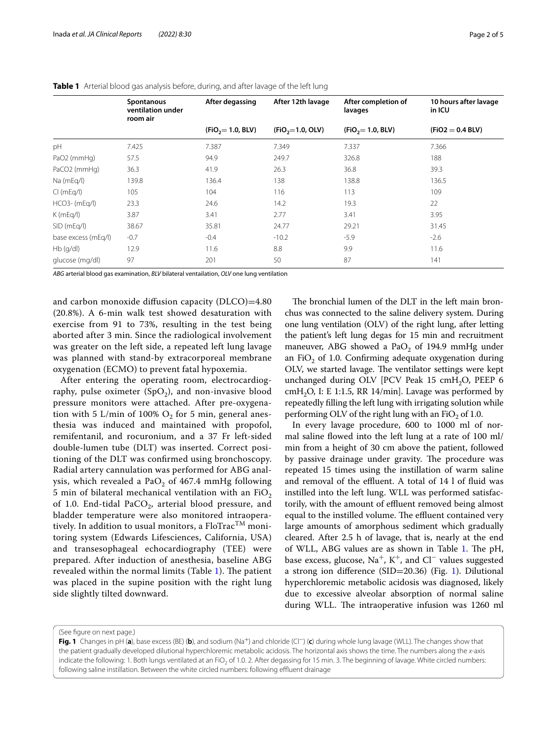|                     | After degassing<br><b>Spontanous</b><br>ventilation under<br>room air |                      | After 12th lavage  | After completion of<br>lavages | 10 hours after lavage<br>in ICU |  |
|---------------------|-----------------------------------------------------------------------|----------------------|--------------------|--------------------------------|---------------------------------|--|
|                     |                                                                       | $(FIO_2 = 1.0, BLV)$ | $(FIO_2=1.0, OLV)$ | $(FIO_2 = 1.0, BLV)$           | $(FIO2 = 0.4 BLV)$              |  |
| pH                  | 7.425                                                                 | 7.387                | 7.349              | 7.337                          | 7.366                           |  |
| PaO2 (mmHg)         | 57.5                                                                  | 94.9                 | 249.7              | 326.8                          | 188                             |  |
| PaCO2 (mmHg)        | 36.3                                                                  | 41.9                 | 26.3               | 36.8                           | 39.3                            |  |
| Na (mEq/l)          | 139.8                                                                 | 136.4                | 138                | 138.8                          | 136.5                           |  |
| Cl(mEq/I)           | 105                                                                   | 104                  | 116                | 113                            | 109                             |  |
| $HCO3-$ (mEg/l)     | 23.3                                                                  | 24.6                 | 14.2               | 19.3                           | 22                              |  |
| $K$ (mEq/l)         | 3.87                                                                  | 3.41                 | 2.77               | 3.41                           | 3.95                            |  |
| SID (mEq/l)         | 38.67                                                                 | 35.81                | 24.77              | 29.21                          | 31.45                           |  |
| base excess (mEg/l) | $-0.7$                                                                | $-0.4$               | $-10.2$            | $-5.9$                         | $-2.6$                          |  |
| $Hb$ (g/dl)         | 12.9                                                                  | 11.6                 | 8.8                | 9.9                            | 11.6                            |  |
| glucose (mg/dl)     | 97                                                                    | 201                  | 50                 | 87                             | 141                             |  |

<span id="page-1-0"></span>

|  |  |  |  |  | Table 1 Arterial blood gas analysis before, during, and after lavage of the left lung |  |
|--|--|--|--|--|---------------------------------------------------------------------------------------|--|
|--|--|--|--|--|---------------------------------------------------------------------------------------|--|

*ABG* arterial blood gas examination, *BLV* bilateral ventailation, *OLV* one lung ventilation

and carbon monoxide difusion capacity (DLCO)=4.80 (20.8%). A 6-min walk test showed desaturation with exercise from 91 to 73%, resulting in the test being aborted after 3 min. Since the radiological involvement was greater on the left side, a repeated left lung lavage was planned with stand-by extracorporeal membrane oxygenation (ECMO) to prevent fatal hypoxemia.

After entering the operating room, electrocardiography, pulse oximeter  $(SpO<sub>2</sub>)$ , and non-invasive blood pressure monitors were attached. After pre-oxygenation with 5 L/min of 100%  $O_2$  for 5 min, general anesthesia was induced and maintained with propofol, remifentanil, and rocuronium, and a 37 Fr left-sided double-lumen tube (DLT) was inserted. Correct positioning of the DLT was confrmed using bronchoscopy. Radial artery cannulation was performed for ABG analysis, which revealed a PaO<sub>2</sub> of 467.4 mmHg following 5 min of bilateral mechanical ventilation with an  $FiO<sub>2</sub>$ of 1.0. End-tidal PaCO<sub>2</sub>, arterial blood pressure, and bladder temperature were also monitored intraoperatively. In addition to usual monitors, a  $FloTrac^{TM}$  monitoring system (Edwards Lifesciences, California, USA) and transesophageal echocardiography (TEE) were prepared. After induction of anesthesia, baseline ABG revealed within the normal limits (Table  $1$ ). The patient was placed in the supine position with the right lung side slightly tilted downward.

The bronchial lumen of the DLT in the left main bronchus was connected to the saline delivery system. During one lung ventilation (OLV) of the right lung, after letting the patient's left lung degas for 15 min and recruitment maneuver, ABG showed a Pa $O<sub>2</sub>$  of 194.9 mmHg under an FiO<sub>2</sub> of 1.0. Confirming adequate oxygenation during OLV, we started lavage. The ventilator settings were kept unchanged during OLV [PCV Peak 15  $cmH<sub>2</sub>O$ , PEEP 6 cmH<sub>2</sub>O, I: E 1:1.5, RR 14/min]. Lavage was performed by repeatedly flling the left lung with irrigating solution while performing OLV of the right lung with an  $FiO<sub>2</sub>$  of 1.0.

In every lavage procedure, 600 to 1000 ml of normal saline fowed into the left lung at a rate of 100 ml/ min from a height of 30 cm above the patient, followed by passive drainage under gravity. The procedure was repeated 15 times using the instillation of warm saline and removal of the effluent. A total of 14 l of fluid was instilled into the left lung. WLL was performed satisfactorily, with the amount of effluent removed being almost equal to the instilled volume. The effluent contained very large amounts of amorphous sediment which gradually cleared. After 2.5 h of lavage, that is, nearly at the end of WLL, ABG values are as shown in Table [1](#page-1-0). The pH, base excess, glucose, Na<sup>+</sup>, K<sup>+</sup>, and Cl<sup>−</sup> values suggested a strong ion diference (SID=20.36) (Fig. [1\)](#page-1-1). Dilutional hyperchloremic metabolic acidosis was diagnosed, likely due to excessive alveolar absorption of normal saline during WLL. The intraoperative infusion was 1260 ml

(See fgure on next page.)

<span id="page-1-1"></span>**Fig. 1** Changes in pH (**a**), base excess (BE) (**b**), and sodium (Na+) and chloride (Cl−) (**c**) during whole lung lavage (WLL). The changes show that the patient gradually developed dilutional hyperchloremic metabolic acidosis. The horizontal axis shows the time. The numbers along the *x*-axis indicate the following: 1. Both lungs ventilated at an FiO<sub>2</sub> of 1.0. 2. After degassing for 15 min. 3. The beginning of lavage. White circled numbers: following saline instillation. Between the white circled numbers: following effluent drainage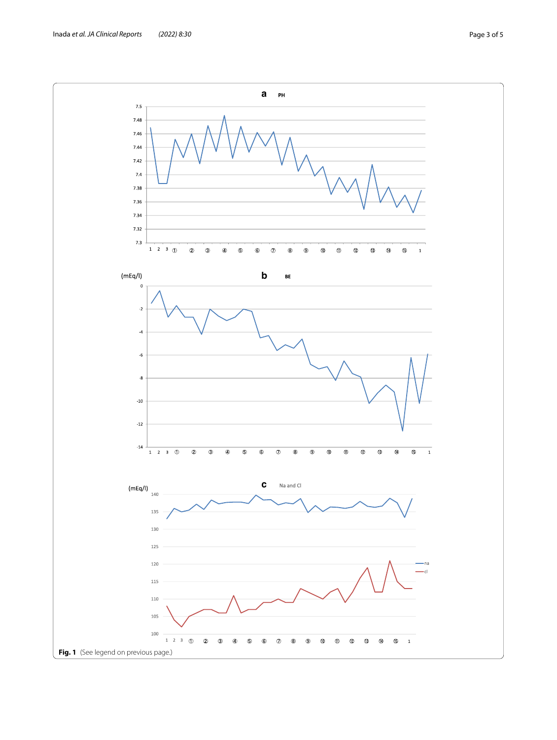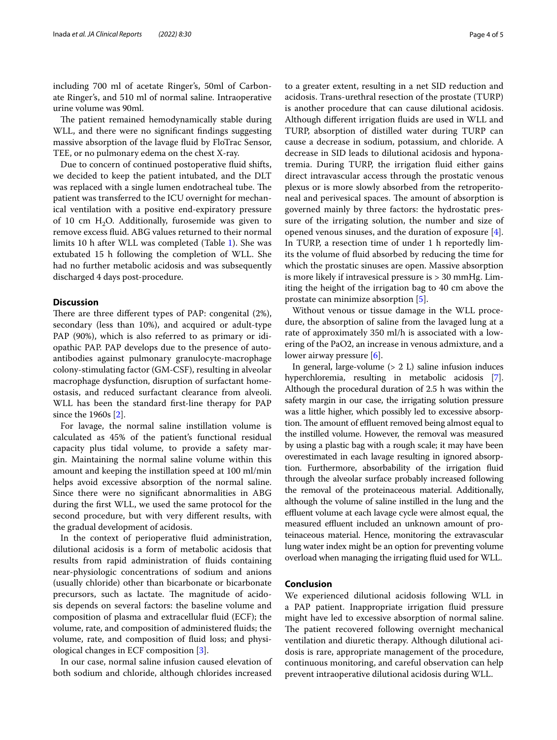including 700 ml of acetate Ringer's, 50ml of Carbonate Ringer's, and 510 ml of normal saline. Intraoperative urine volume was 90ml.

The patient remained hemodynamically stable during WLL, and there were no signifcant fndings suggesting massive absorption of the lavage fuid by FloTrac Sensor, TEE, or no pulmonary edema on the chest X-ray.

Due to concern of continued postoperative fuid shifts, we decided to keep the patient intubated, and the DLT was replaced with a single lumen endotracheal tube. The patient was transferred to the ICU overnight for mechanical ventilation with a positive end-expiratory pressure of 10 cm  $H_2O$ . Additionally, furosemide was given to remove excess fuid. ABG values returned to their normal limits 10 h after WLL was completed (Table [1\)](#page-1-0). She was extubated 15 h following the completion of WLL. She had no further metabolic acidosis and was subsequently discharged 4 days post-procedure.

## **Discussion**

There are three different types of PAP: congenital  $(2\%)$ , secondary (less than 10%), and acquired or adult-type PAP (90%), which is also referred to as primary or idiopathic PAP. PAP develops due to the presence of autoantibodies against pulmonary granulocyte-macrophage colony-stimulating factor (GM-CSF), resulting in alveolar macrophage dysfunction, disruption of surfactant homeostasis, and reduced surfactant clearance from alveoli. WLL has been the standard frst-line therapy for PAP since the 1960s [\[2\]](#page-4-1).

For lavage, the normal saline instillation volume is calculated as 45% of the patient's functional residual capacity plus tidal volume, to provide a safety margin. Maintaining the normal saline volume within this amount and keeping the instillation speed at 100 ml/min helps avoid excessive absorption of the normal saline. Since there were no signifcant abnormalities in ABG during the frst WLL, we used the same protocol for the second procedure, but with very diferent results, with the gradual development of acidosis.

In the context of perioperative fuid administration, dilutional acidosis is a form of metabolic acidosis that results from rapid administration of fuids containing near-physiologic concentrations of sodium and anions (usually chloride) other than bicarbonate or bicarbonate precursors, such as lactate. The magnitude of acidosis depends on several factors: the baseline volume and composition of plasma and extracellular fuid (ECF); the volume, rate, and composition of administered fuids; the volume, rate, and composition of fuid loss; and physiological changes in ECF composition [[3\]](#page-4-2).

In our case, normal saline infusion caused elevation of both sodium and chloride, although chlorides increased to a greater extent, resulting in a net SID reduction and acidosis. Trans-urethral resection of the prostate (TURP) is another procedure that can cause dilutional acidosis. Although diferent irrigation fuids are used in WLL and TURP, absorption of distilled water during TURP can cause a decrease in sodium, potassium, and chloride. A decrease in SID leads to dilutional acidosis and hyponatremia. During TURP, the irrigation fuid either gains direct intravascular access through the prostatic venous plexus or is more slowly absorbed from the retroperitoneal and perivesical spaces. The amount of absorption is governed mainly by three factors: the hydrostatic pressure of the irrigating solution, the number and size of opened venous sinuses, and the duration of exposure [\[4](#page-4-3)]. In TURP, a resection time of under 1 h reportedly limits the volume of fuid absorbed by reducing the time for which the prostatic sinuses are open. Massive absorption is more likely if intravesical pressure is > 30 mmHg. Limiting the height of the irrigation bag to 40 cm above the prostate can minimize absorption [[5\]](#page-4-4).

Without venous or tissue damage in the WLL procedure, the absorption of saline from the lavaged lung at a rate of approximately 350 ml/h is associated with a lowering of the PaO2, an increase in venous admixture, and a lower airway pressure [\[6](#page-4-5)].

In general, large-volume  $(> 2 L)$  saline infusion induces hyperchloremia, resulting in metabolic acidosis [[7](#page-4-6)]. Although the procedural duration of 2.5 h was within the safety margin in our case, the irrigating solution pressure was a little higher, which possibly led to excessive absorption. The amount of effluent removed being almost equal to the instilled volume. However, the removal was measured by using a plastic bag with a rough scale; it may have been overestimated in each lavage resulting in ignored absorption. Furthermore, absorbability of the irrigation fuid through the alveolar surface probably increased following the removal of the proteinaceous material. Additionally, although the volume of saline instilled in the lung and the effluent volume at each lavage cycle were almost equal, the measured effluent included an unknown amount of proteinaceous material. Hence, monitoring the extravascular lung water index might be an option for preventing volume overload when managing the irrigating fuid used for WLL.

#### **Conclusion**

We experienced dilutional acidosis following WLL in a PAP patient. Inappropriate irrigation fuid pressure might have led to excessive absorption of normal saline. The patient recovered following overnight mechanical ventilation and diuretic therapy. Although dilutional acidosis is rare, appropriate management of the procedure, continuous monitoring, and careful observation can help prevent intraoperative dilutional acidosis during WLL.